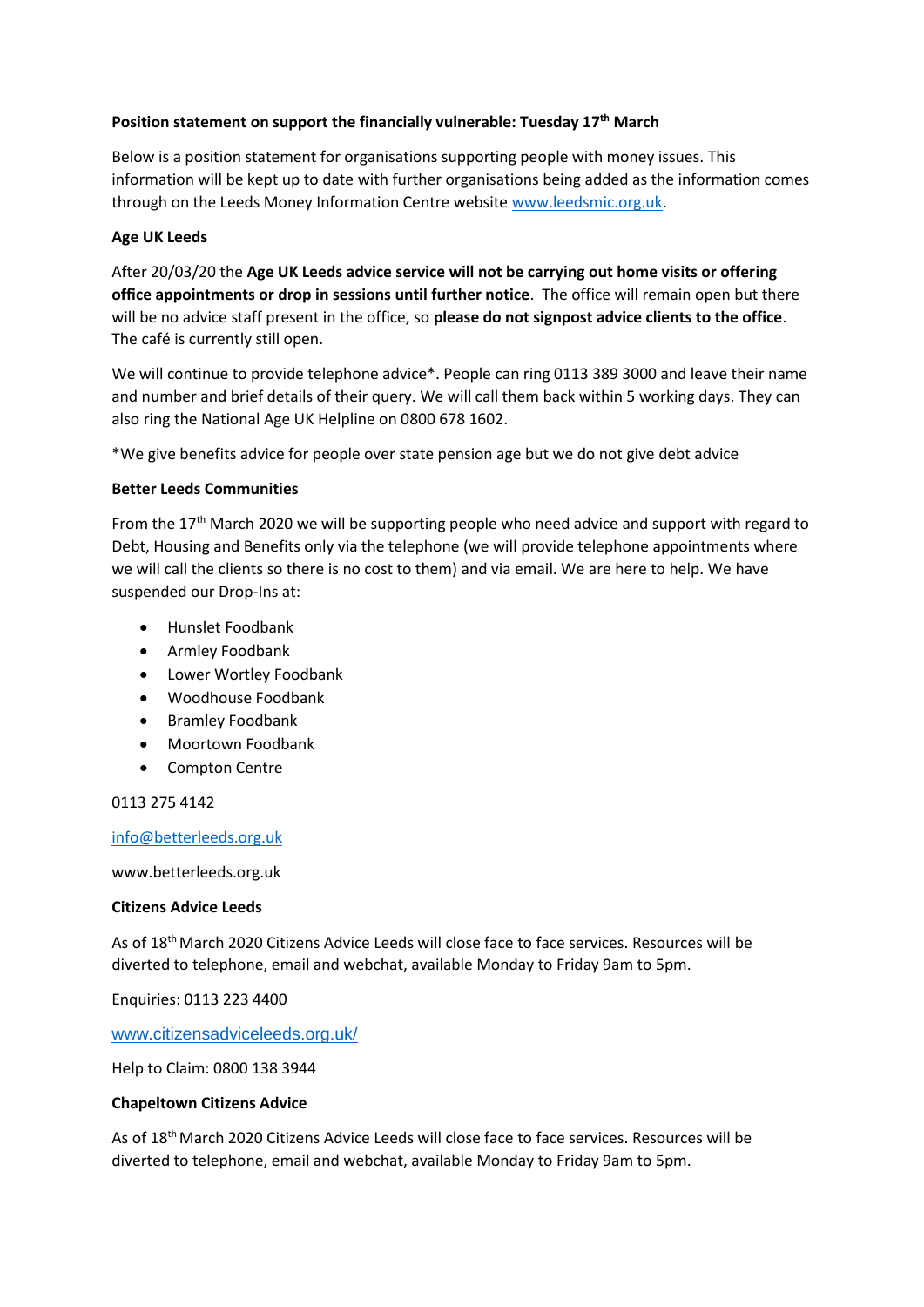## **Position statement on support the financially vulnerable: Tuesday 17th March**

Below is a position statement for organisations supporting people with money issues. This information will be kept up to date with further organisations being added as the information comes through on the Leeds Money Information Centre website [www.leedsmic.org.uk.](http://www.leedsmic.org.uk/)

# **Age UK Leeds**

After 20/03/20 the **Age UK Leeds advice service will not be carrying out home visits or offering office appointments or drop in sessions until further notice**. The office will remain open but there will be no advice staff present in the office, so **please do not signpost advice clients to the office**. The café is currently still open.

We will continue to provide telephone advice\*. People can ring 0113 389 3000 and leave their name and number and brief details of their query. We will call them back within 5 working days. They can also ring the National Age UK Helpline on 0800 678 1602.

\*We give benefits advice for people over state pension age but we do not give debt advice

### **Better Leeds Communities**

From the  $17<sup>th</sup>$  March 2020 we will be supporting people who need advice and support with regard to Debt, Housing and Benefits only via the telephone (we will provide telephone appointments where we will call the clients so there is no cost to them) and via email. We are here to help. We have suspended our Drop-Ins at:

- Hunslet Foodbank
- Armley Foodbank
- Lower Wortley Foodbank
- Woodhouse Foodbank
- Bramley Foodbank
- Moortown Foodbank
- Compton Centre

0113 275 4142

### [info@betterleeds.org.uk](mailto:info@betterleeds.org.uk)

www.betterleeds.org.uk

### **Citizens Advice Leeds**

As of 18<sup>th</sup> March 2020 Citizens Advice Leeds will close face to face services. Resources will be diverted to telephone, email and webchat, available Monday to Friday 9am to 5pm.

Enquiries: 0113 223 4400

### [www.citizensadviceleeds.org.uk/](http://www.citizensadviceleeds.org.uk/)

Help to Claim: 0800 138 3944

### **Chapeltown Citizens Advice**

As of 18<sup>th</sup> March 2020 Citizens Advice Leeds will close face to face services. Resources will be diverted to telephone, email and webchat, available Monday to Friday 9am to 5pm.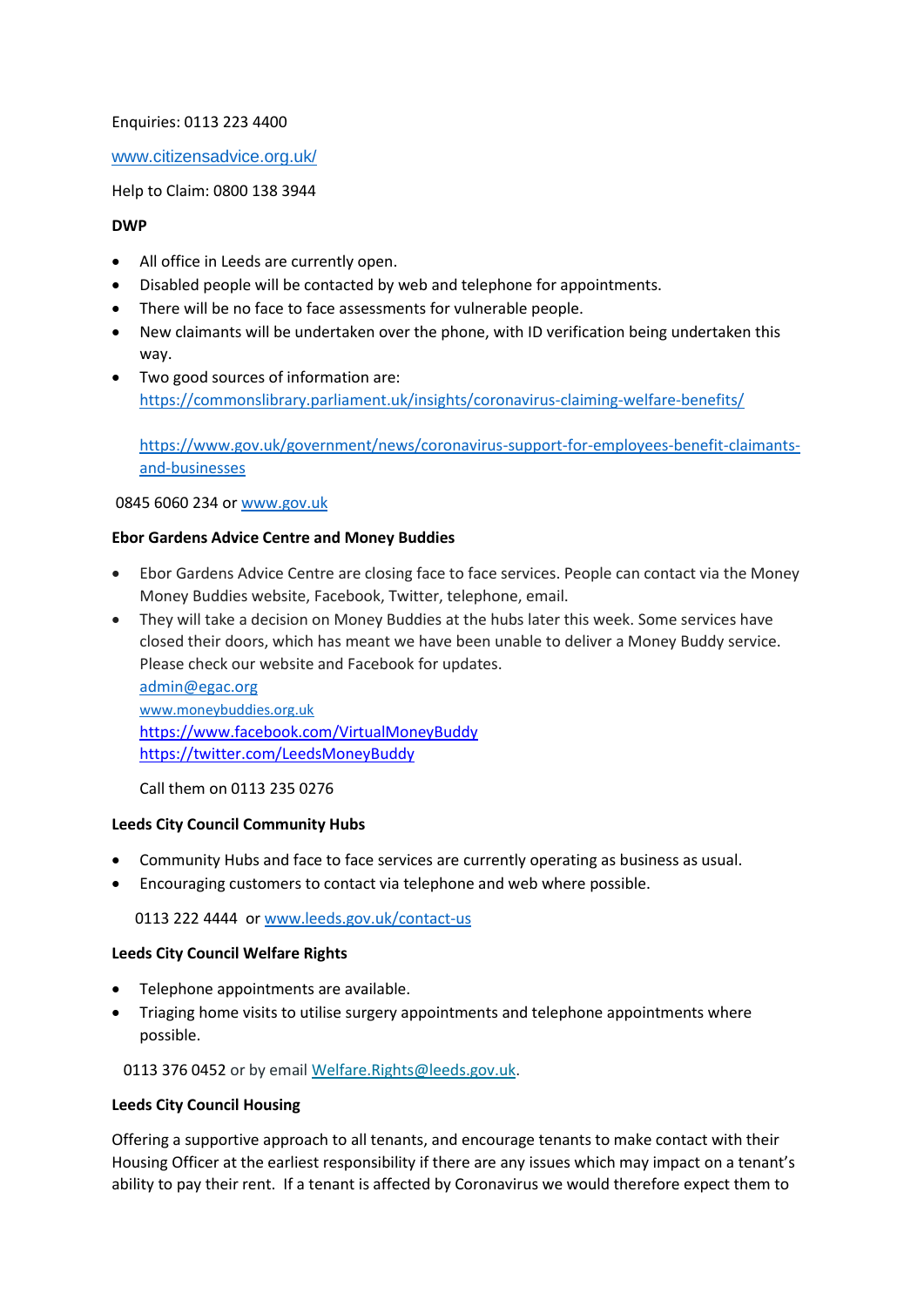### Enquiries: 0113 223 4400

## [www.citizensadvice.org.uk/](http://www.citizensadvice.org.uk/)

Help to Claim: 0800 138 3944

### **DWP**

- All office in Leeds are currently open.
- Disabled people will be contacted by web and telephone for appointments.
- There will be no face to face assessments for vulnerable people.
- New claimants will be undertaken over the phone, with ID verification being undertaken this way.
- Two good sources of information are: <https://commonslibrary.parliament.uk/insights/coronavirus-claiming-welfare-benefits/>

[https://www.gov.uk/government/news/coronavirus-support-for-employees-benefit-claimants](https://www.gov.uk/government/news/coronavirus-support-for-employees-benefit-claimants-and-businesses)[and-businesses](https://www.gov.uk/government/news/coronavirus-support-for-employees-benefit-claimants-and-businesses)

0845 6060 234 o[r www.gov.uk](http://www.gov.uk/)

### **Ebor Gardens Advice Centre and Money Buddies**

- Ebor Gardens Advice Centre are closing face to face services. People can contact via the Money Money Buddies website, Facebook, Twitter, telephone, email.
- They will take a decision on Money Buddies at the hubs later this week. Some services have closed their doors, which has meant we have been unable to deliver a Money Buddy service. Please check our website and Facebook for updates.

[admin@egac.org](mailto:admin@egac.org) [www.moneybuddies.org.uk](http://www.moneybuddies.org.uk/) <https://www.facebook.com/VirtualMoneyBuddy> <https://twitter.com/LeedsMoneyBuddy>

Call them on 0113 235 0276

### **Leeds City Council Community Hubs**

- Community Hubs and face to face services are currently operating as business as usual.
- Encouraging customers to contact via telephone and web where possible.

0113 222 4444 o[r www.leeds.gov.uk/contact-us](http://www.leeds.gov.uk/contact-us)

### **Leeds City Council Welfare Rights**

- Telephone appointments are available.
- Triaging home visits to utilise surgery appointments and telephone appointments where possible.

0113 376 0452 or by emai[l Welfare.Rights@leeds.gov.uk.](mailto:Welfare.Rights@leeds.gov.uk)

#### **Leeds City Council Housing**

Offering a supportive approach to all tenants, and encourage tenants to make contact with their Housing Officer at the earliest responsibility if there are any issues which may impact on a tenant's ability to pay their rent. If a tenant is affected by Coronavirus we would therefore expect them to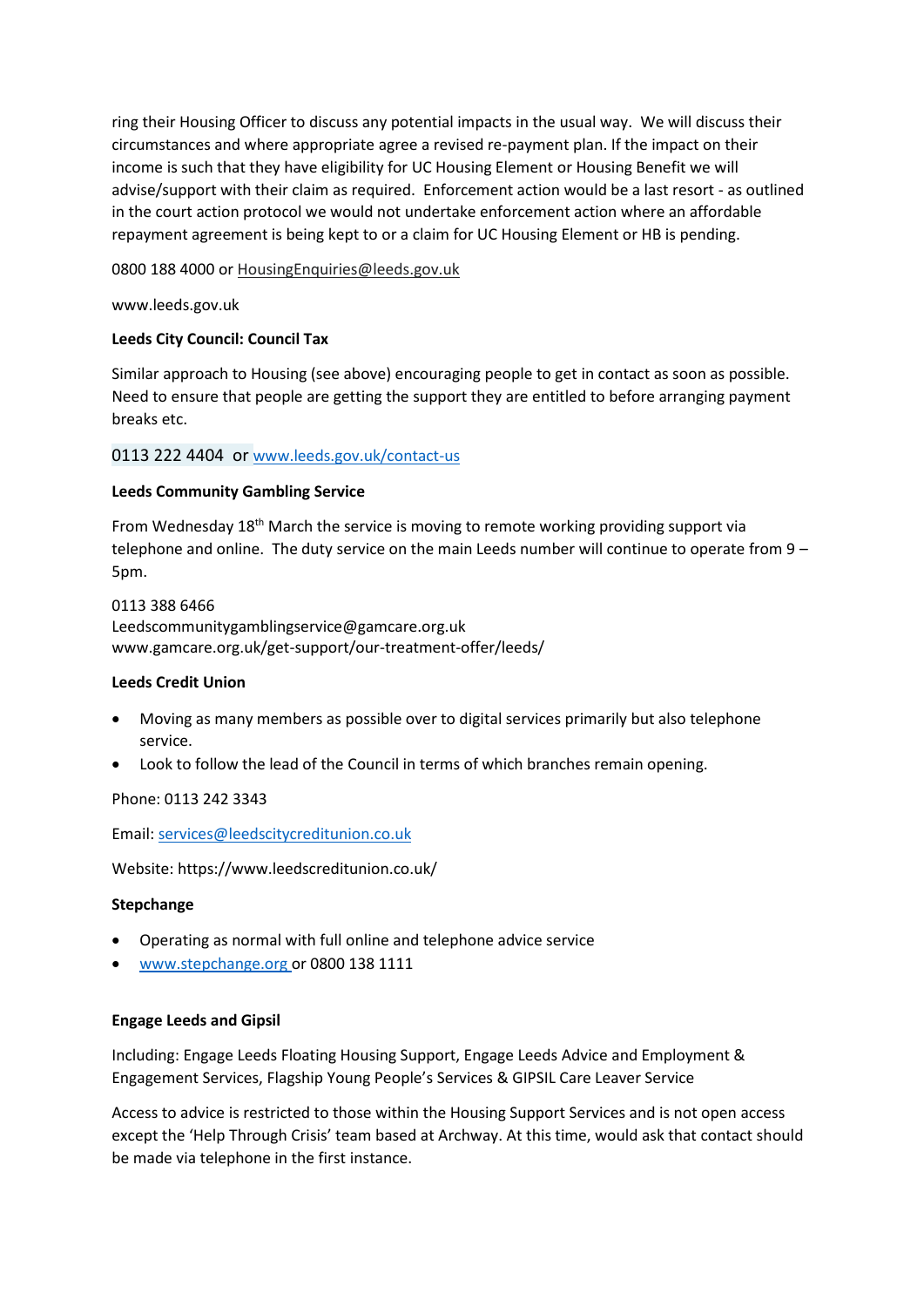ring their Housing Officer to discuss any potential impacts in the usual way. We will discuss their circumstances and where appropriate agree a revised re-payment plan. If the impact on their income is such that they have eligibility for UC Housing Element or Housing Benefit we will advise/support with their claim as required. Enforcement action would be a last resort - as outlined in the court action protocol we would not undertake enforcement action where an affordable repayment agreement is being kept to or a claim for UC Housing Element or HB is pending.

0800 188 4000 or [HousingEnquiries@leeds.gov.uk](mailto:HousingEnquiries@leeds.gov.uk)

www.leeds.gov.uk

# **Leeds City Council: Council Tax**

Similar approach to Housing (see above) encouraging people to get in contact as soon as possible. Need to ensure that people are getting the support they are entitled to before arranging payment breaks etc.

# 0113 222 4404 or [www.leeds.gov.uk/contact-us](http://www.leeds.gov.uk/contact-us)

### **Leeds Community Gambling Service**

From Wednesday 18th March the service is moving to remote working providing support via telephone and online. The duty service on the main Leeds number will continue to operate from 9 – 5pm.

0113 388 6466 Leedscommunitygamblingservice@gamcare.org.uk www.gamcare.org.uk/get-support/our-treatment-offer/leeds/

### **Leeds Credit Union**

- Moving as many members as possible over to digital services primarily but also telephone service.
- Look to follow the lead of the Council in terms of which branches remain opening.

Phone: 0113 242 3343

Email: [services@leedscitycreditunion.co.uk](mailto:services@leedscitycreditunion.co.uk)

Website: https://www.leedscreditunion.co.uk/

### **Stepchange**

- Operating as normal with full online and telephone advice service
- [www.stepchange.org](http://www.stepchange.org/) or 0800 138 1111

### **Engage Leeds and Gipsil**

Including: Engage Leeds Floating Housing Support, Engage Leeds Advice and Employment & Engagement Services, Flagship Young People's Services & GIPSIL Care Leaver Service

Access to advice is restricted to those within the Housing Support Services and is not open access except the 'Help Through Crisis' team based at Archway. At this time, would ask that contact should be made via telephone in the first instance.